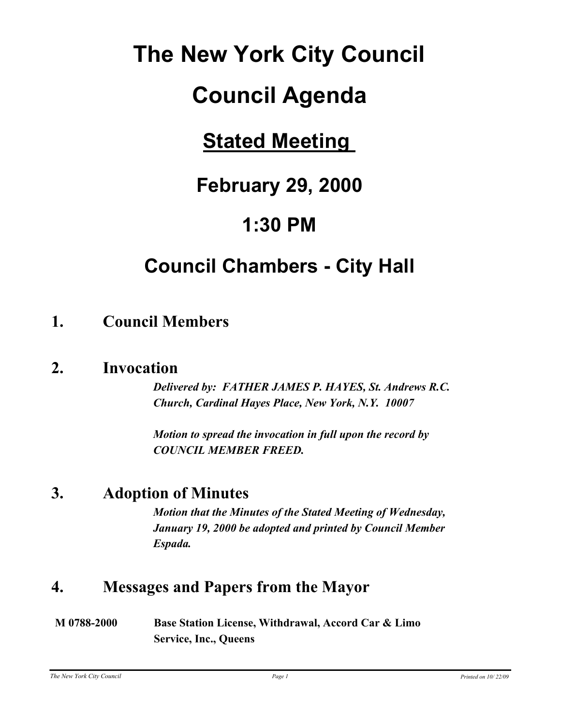# **The New York City Council**

# **Council Agenda**

# **Stated Meeting**

# **February 29, 2000**

# **1:30 PM**

# **Council Chambers - City Hall**

# **1. Council Members**

## **2. Invocation**

*Delivered by: FATHER JAMES P. HAYES, St. Andrews R.C. Church, Cardinal Hayes Place, New York, N.Y. 10007* 

*Motion to spread the invocation in full upon the record by COUNCIL MEMBER FREED.*

# **3. Adoption of Minutes**

*Motion that the Minutes of the Stated Meeting of Wednesday, January 19, 2000 be adopted and printed by Council Member Espada.*

# **4. Messages and Papers from the Mayor**

| M 0788-2000 | Base Station License, Withdrawal, Accord Car & Limo |
|-------------|-----------------------------------------------------|
|             | <b>Service, Inc., Queens</b>                        |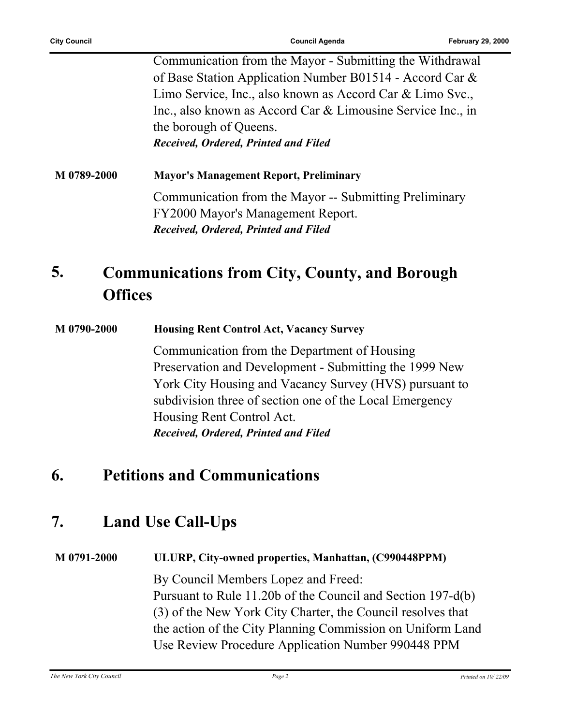Communication from the Mayor - Submitting the Withdrawal of Base Station Application Number B01514 - Accord Car & Limo Service, Inc., also known as Accord Car & Limo Svc., Inc., also known as Accord Car & Limousine Service Inc., in the borough of Queens. *Received, Ordered, Printed and Filed*

**M 0789-2000 Mayor's Management Report, Preliminary** Communication from the Mayor -- Submitting Preliminary FY2000 Mayor's Management Report. *Received, Ordered, Printed and Filed*

#### **Communications from City, County, and Borough Offices 5.**

#### **M 0790-2000 Housing Rent Control Act, Vacancy Survey**

Communication from the Department of Housing Preservation and Development - Submitting the 1999 New York City Housing and Vacancy Survey (HVS) pursuant to subdivision three of section one of the Local Emergency Housing Rent Control Act. *Received, Ordered, Printed and Filed*

## **6. Petitions and Communications**

# **7. Land Use Call-Ups**

### **M 0791-2000 ULURP, City-owned properties, Manhattan, (C990448PPM)**

By Council Members Lopez and Freed: Pursuant to Rule 11.20b of the Council and Section 197-d(b) (3) of the New York City Charter, the Council resolves that the action of the City Planning Commission on Uniform Land Use Review Procedure Application Number 990448 PPM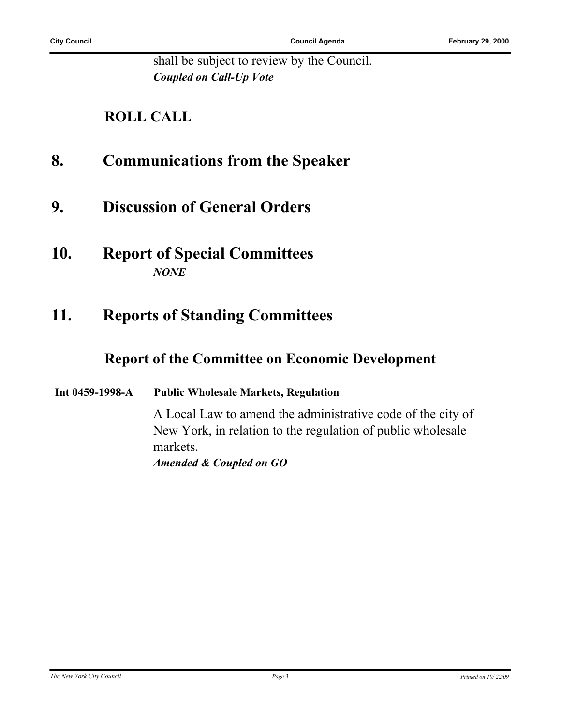shall be subject to review by the Council. *Coupled on Call-Up Vote*

### **ROLL CALL**

### **8. Communications from the Speaker**

- **9. Discussion of General Orders**
- **10. Report of Special Committees** *NONE*

# **11. Reports of Standing Committees**

### **Report of the Committee on Economic Development**

#### **Int 0459-1998-A Public Wholesale Markets, Regulation**

A Local Law to amend the administrative code of the city of New York, in relation to the regulation of public wholesale markets. *Amended & Coupled on GO*

*The New York City Council Page 3 Printed on 10/ 22/09*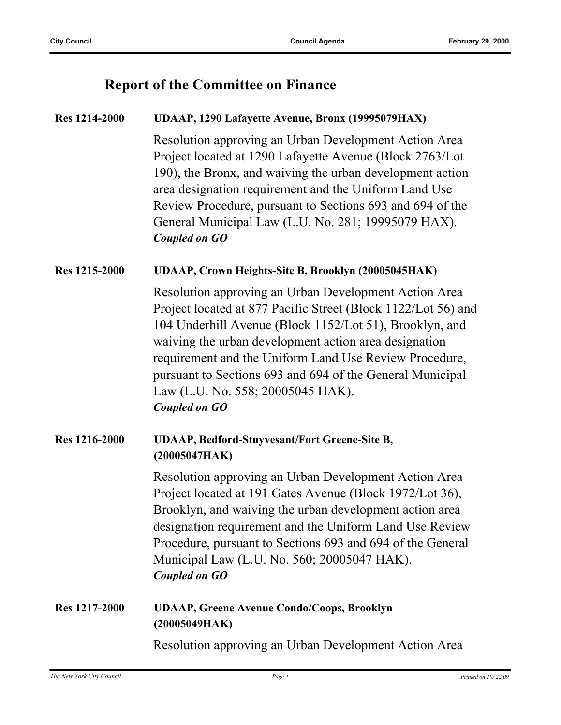### **Report of the Committee on Finance**

### **Res 1214-2000 UDAAP, 1290 Lafayette Avenue, Bronx (19995079HAX)** Resolution approving an Urban Development Action Area Project located at 1290 Lafayette Avenue (Block 2763/Lot 190), the Bronx, and waiving the urban development action area designation requirement and the Uniform Land Use Review Procedure, pursuant to Sections 693 and 694 of the General Municipal Law (L.U. No. 281; 19995079 HAX).

#### *Coupled on GO*

#### **Res 1215-2000 UDAAP, Crown Heights-Site B, Brooklyn (20005045HAK)**

Resolution approving an Urban Development Action Area Project located at 877 Pacific Street (Block 1122/Lot 56) and 104 Underhill Avenue (Block 1152/Lot 51), Brooklyn, and waiving the urban development action area designation requirement and the Uniform Land Use Review Procedure, pursuant to Sections 693 and 694 of the General Municipal Law (L.U. No. 558; 20005045 HAK). *Coupled on GO*

#### **Res 1216-2000 UDAAP, Bedford-Stuyvesant/Fort Greene-Site B, (20005047HAK)**

Resolution approving an Urban Development Action Area Project located at 191 Gates Avenue (Block 1972/Lot 36), Brooklyn, and waiving the urban development action area designation requirement and the Uniform Land Use Review Procedure, pursuant to Sections 693 and 694 of the General Municipal Law (L.U. No. 560; 20005047 HAK). *Coupled on GO*

#### **Res 1217-2000 UDAAP, Greene Avenue Condo/Coops, Brooklyn (20005049HAK)**

Resolution approving an Urban Development Action Area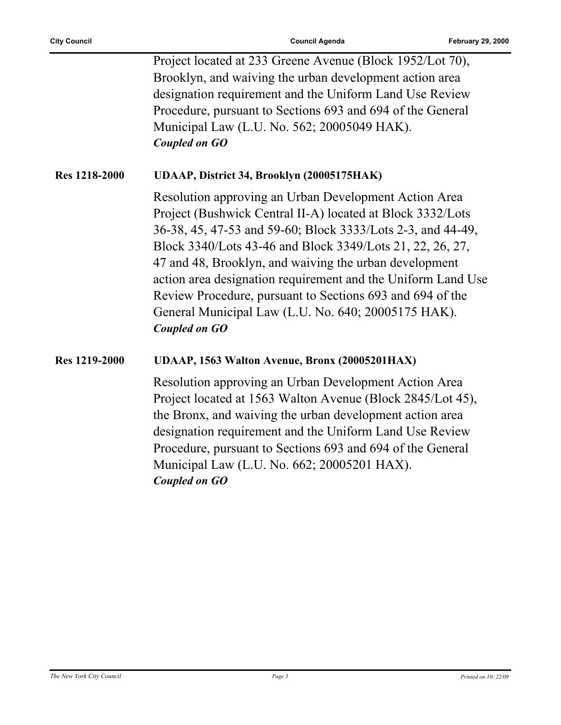|                      | Project located at 233 Greene Avenue (Block 1952/Lot 70),<br>Brooklyn, and waiving the urban development action area<br>designation requirement and the Uniform Land Use Review<br>Procedure, pursuant to Sections 693 and 694 of the General<br>Municipal Law (L.U. No. 562; 20005049 HAK).<br><b>Coupled on GO</b>                                                                                                                                                                                                  |
|----------------------|-----------------------------------------------------------------------------------------------------------------------------------------------------------------------------------------------------------------------------------------------------------------------------------------------------------------------------------------------------------------------------------------------------------------------------------------------------------------------------------------------------------------------|
| <b>Res 1218-2000</b> | UDAAP, District 34, Brooklyn (20005175HAK)                                                                                                                                                                                                                                                                                                                                                                                                                                                                            |
|                      | Resolution approving an Urban Development Action Area<br>Project (Bushwick Central II-A) located at Block 3332/Lots<br>36-38, 45, 47-53 and 59-60; Block 3333/Lots 2-3, and 44-49,<br>Block 3340/Lots 43-46 and Block 3349/Lots 21, 22, 26, 27,<br>47 and 48, Brooklyn, and waiving the urban development<br>action area designation requirement and the Uniform Land Use<br>Review Procedure, pursuant to Sections 693 and 694 of the<br>General Municipal Law (L.U. No. 640; 20005175 HAK).<br><b>Coupled on GO</b> |
| <b>Res 1219-2000</b> | UDAAP, 1563 Walton Avenue, Bronx (20005201HAX)                                                                                                                                                                                                                                                                                                                                                                                                                                                                        |
|                      | Resolution approving an Urban Development Action Area<br>Project located at 1563 Walton Avenue (Block 2845/Lot 45),<br>the Bronx, and waiving the urban development action area<br>designation requirement and the Uniform Land Use Review<br>Procedure, pursuant to Sections 693 and 694 of the General<br>Municipal Law (L.U. No. 662; 20005201 HAX).<br><b>Coupled on GO</b>                                                                                                                                       |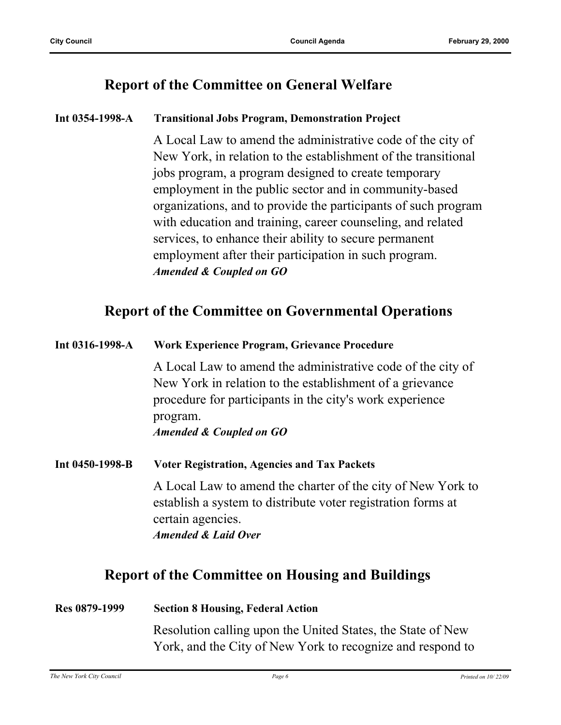### **Report of the Committee on General Welfare**

#### **Int 0354-1998-A Transitional Jobs Program, Demonstration Project**

A Local Law to amend the administrative code of the city of New York, in relation to the establishment of the transitional jobs program, a program designed to create temporary employment in the public sector and in community-based organizations, and to provide the participants of such program with education and training, career counseling, and related services, to enhance their ability to secure permanent employment after their participation in such program. *Amended & Coupled on GO*

### **Report of the Committee on Governmental Operations**

| Int 0316-1998-A | Work Experience Program, Grievance Procedure                                                                                                                                                    |
|-----------------|-------------------------------------------------------------------------------------------------------------------------------------------------------------------------------------------------|
|                 | A Local Law to amend the administrative code of the city of<br>New York in relation to the establishment of a grievance<br>procedure for participants in the city's work experience<br>program. |
|                 | Amended & Coupled on GO                                                                                                                                                                         |
| Int 0450-1998-B | <b>Voter Registration, Agencies and Tax Packets</b>                                                                                                                                             |
|                 | A Local Law to amend the charter of the city of New York to<br>establish a system to distribute voter registration forms at<br>certain agencies.                                                |
|                 | <b>Amended &amp; Laid Over</b>                                                                                                                                                                  |
|                 | <b>Report of the Committee on Housing and Buildings</b>                                                                                                                                         |

# **Res 0879-1999 Section 8 Housing, Federal Action** Resolution calling upon the United States, the State of New York, and the City of New York to recognize and respond to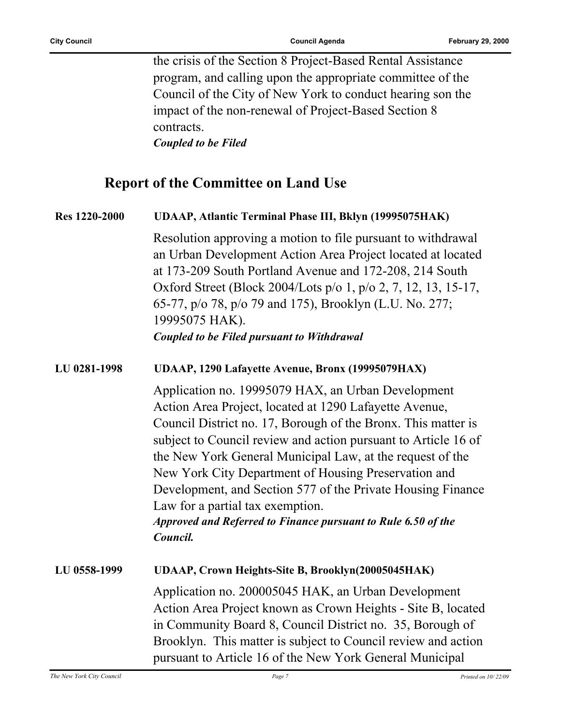the crisis of the Section 8 Project-Based Rental Assistance program, and calling upon the appropriate committee of the Council of the City of New York to conduct hearing son the impact of the non-renewal of Project-Based Section 8 contracts. *Coupled to be Filed*

### **Report of the Committee on Land Use**

**Res 1220-2000 UDAAP, Atlantic Terminal Phase III, Bklyn (19995075HAK)** Resolution approving a motion to file pursuant to withdrawal an Urban Development Action Area Project located at located at 173-209 South Portland Avenue and 172-208, 214 South Oxford Street (Block 2004/Lots p/o 1, p/o 2, 7, 12, 13, 15-17, 65-77, p/o 78, p/o 79 and 175), Brooklyn (L.U. No. 277; 19995075 HAK). *Coupled to be Filed pursuant to Withdrawal*

#### **LU 0281-1998 UDAAP, 1290 Lafayette Avenue, Bronx (19995079HAX)**

Application no. 19995079 HAX, an Urban Development Action Area Project, located at 1290 Lafayette Avenue, Council District no. 17, Borough of the Bronx. This matter is subject to Council review and action pursuant to Article 16 of the New York General Municipal Law, at the request of the New York City Department of Housing Preservation and Development, and Section 577 of the Private Housing Finance Law for a partial tax exemption.

*Approved and Referred to Finance pursuant to Rule 6.50 of the Council.*

**LU 0558-1999 UDAAP, Crown Heights-Site B, Brooklyn(20005045HAK)** Application no. 200005045 HAK, an Urban Development Action Area Project known as Crown Heights - Site B, located in Community Board 8, Council District no. 35, Borough of Brooklyn. This matter is subject to Council review and action pursuant to Article 16 of the New York General Municipal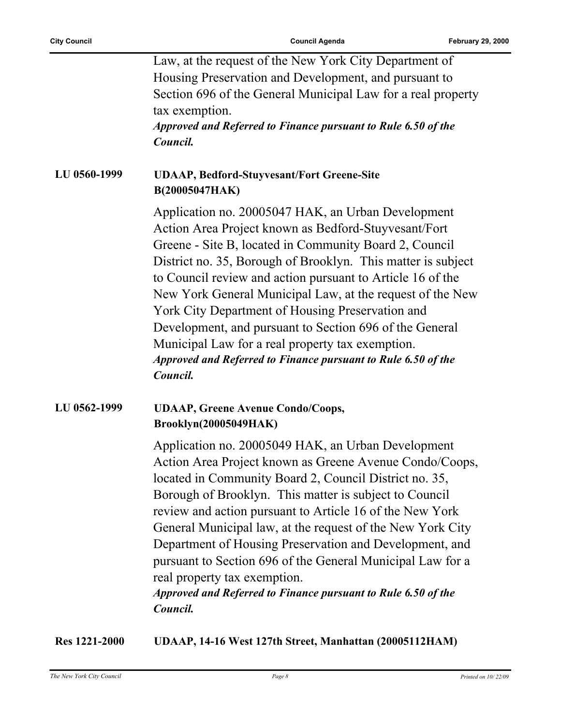|              | Law, at the request of the New York City Department of<br>Housing Preservation and Development, and pursuant to<br>Section 696 of the General Municipal Law for a real property<br>tax exemption.<br>Approved and Referred to Finance pursuant to Rule 6.50 of the<br>Council.                                                                                                                                                                                                                                                                                                                                  |
|--------------|-----------------------------------------------------------------------------------------------------------------------------------------------------------------------------------------------------------------------------------------------------------------------------------------------------------------------------------------------------------------------------------------------------------------------------------------------------------------------------------------------------------------------------------------------------------------------------------------------------------------|
| LU 0560-1999 | <b>UDAAP, Bedford-Stuyvesant/Fort Greene-Site</b><br>B(20005047HAK)                                                                                                                                                                                                                                                                                                                                                                                                                                                                                                                                             |
|              | Application no. 20005047 HAK, an Urban Development<br>Action Area Project known as Bedford-Stuyvesant/Fort<br>Greene - Site B, located in Community Board 2, Council<br>District no. 35, Borough of Brooklyn. This matter is subject<br>to Council review and action pursuant to Article 16 of the<br>New York General Municipal Law, at the request of the New<br>York City Department of Housing Preservation and<br>Development, and pursuant to Section 696 of the General<br>Municipal Law for a real property tax exemption.<br>Approved and Referred to Finance pursuant to Rule 6.50 of the<br>Council. |
| LU 0562-1999 | <b>UDAAP, Greene Avenue Condo/Coops,</b><br><b>Brooklyn(20005049HAK)</b>                                                                                                                                                                                                                                                                                                                                                                                                                                                                                                                                        |
|              | Application no. 20005049 HAK, an Urban Development<br>Action Area Project known as Greene Avenue Condo/Coops,<br>located in Community Board 2, Council District no. 35,<br>Borough of Brooklyn. This matter is subject to Council<br>review and action pursuant to Article 16 of the New York<br>General Municipal law, at the request of the New York City<br>Department of Housing Preservation and Development, and<br>pursuant to Section 696 of the General Municipal Law for a<br>real property tax exemption.<br>Approved and Referred to Finance pursuant to Rule 6.50 of the<br>Council.               |

**Res 1221-2000 UDAAP, 14-16 West 127th Street, Manhattan (20005112HAM)**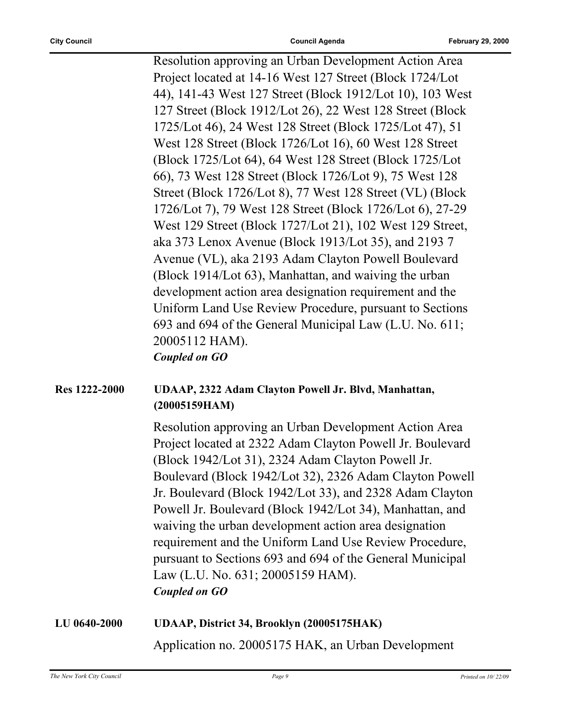Resolution approving an Urban Development Action Area Project located at 14-16 West 127 Street (Block 1724/Lot 44), 141-43 West 127 Street (Block 1912/Lot 10), 103 West 127 Street (Block 1912/Lot 26), 22 West 128 Street (Block 1725/Lot 46), 24 West 128 Street (Block 1725/Lot 47), 51 West 128 Street (Block 1726/Lot 16), 60 West 128 Street (Block 1725/Lot 64), 64 West 128 Street (Block 1725/Lot 66), 73 West 128 Street (Block 1726/Lot 9), 75 West 128 Street (Block 1726/Lot 8), 77 West 128 Street (VL) (Block 1726/Lot 7), 79 West 128 Street (Block 1726/Lot 6), 27-29 West 129 Street (Block 1727/Lot 21), 102 West 129 Street, aka 373 Lenox Avenue (Block 1913/Lot 35), and 2193 7 Avenue (VL), aka 2193 Adam Clayton Powell Boulevard (Block 1914/Lot 63), Manhattan, and waiving the urban development action area designation requirement and the Uniform Land Use Review Procedure, pursuant to Sections 693 and 694 of the General Municipal Law (L.U. No. 611; 20005112 HAM). *Coupled on GO*

#### **Res 1222-2000 UDAAP, 2322 Adam Clayton Powell Jr. Blvd, Manhattan, (20005159HAM)**

Resolution approving an Urban Development Action Area Project located at 2322 Adam Clayton Powell Jr. Boulevard (Block 1942/Lot 31), 2324 Adam Clayton Powell Jr. Boulevard (Block 1942/Lot 32), 2326 Adam Clayton Powell Jr. Boulevard (Block 1942/Lot 33), and 2328 Adam Clayton Powell Jr. Boulevard (Block 1942/Lot 34), Manhattan, and waiving the urban development action area designation requirement and the Uniform Land Use Review Procedure, pursuant to Sections 693 and 694 of the General Municipal Law (L.U. No. 631; 20005159 HAM). *Coupled on GO*

### **LU 0640-2000 UDAAP, District 34, Brooklyn (20005175HAK)** Application no. 20005175 HAK, an Urban Development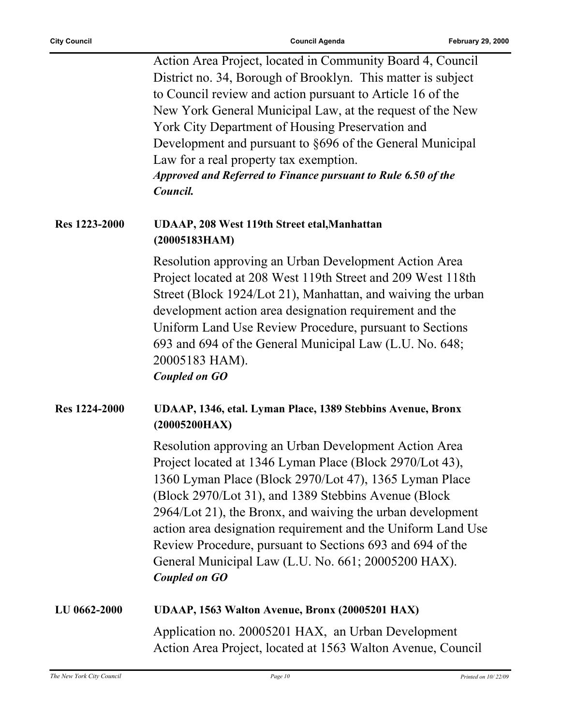| Action Area Project, located in Community Board 4, Council    |
|---------------------------------------------------------------|
| District no. 34, Borough of Brooklyn. This matter is subject  |
| to Council review and action pursuant to Article 16 of the    |
| New York General Municipal Law, at the request of the New     |
| York City Department of Housing Preservation and              |
| Development and pursuant to §696 of the General Municipal     |
| Law for a real property tax exemption.                        |
| Approved and Referred to Finance pursuant to Rule 6.50 of the |
| Council.                                                      |

#### **Res 1223-2000 UDAAP, 208 West 119th Street etal,Manhattan (20005183HAM)**

Resolution approving an Urban Development Action Area Project located at 208 West 119th Street and 209 West 118th Street (Block 1924/Lot 21), Manhattan, and waiving the urban development action area designation requirement and the Uniform Land Use Review Procedure, pursuant to Sections 693 and 694 of the General Municipal Law (L.U. No. 648; 20005183 HAM). *Coupled on GO*

### **Res 1224-2000 UDAAP, 1346, etal. Lyman Place, 1389 Stebbins Avenue, Bronx (20005200HAX)**

Resolution approving an Urban Development Action Area Project located at 1346 Lyman Place (Block 2970/Lot 43), 1360 Lyman Place (Block 2970/Lot 47), 1365 Lyman Place (Block 2970/Lot 31), and 1389 Stebbins Avenue (Block 2964/Lot 21), the Bronx, and waiving the urban development action area designation requirement and the Uniform Land Use Review Procedure, pursuant to Sections 693 and 694 of the General Municipal Law (L.U. No. 661; 20005200 HAX). *Coupled on GO*

### **LU 0662-2000 UDAAP, 1563 Walton Avenue, Bronx (20005201 HAX)** Application no. 20005201 HAX, an Urban Development Action Area Project, located at 1563 Walton Avenue, Council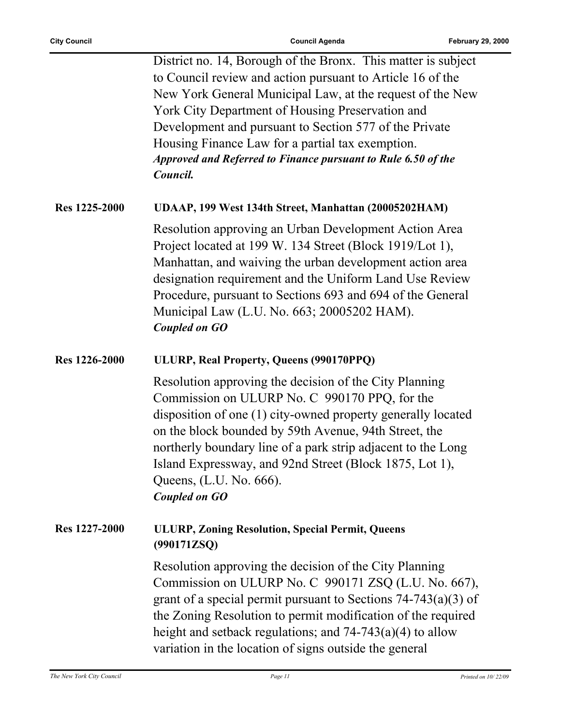District no. 14, Borough of the Bronx. This matter is subject to Council review and action pursuant to Article 16 of the New York General Municipal Law, at the request of the New York City Department of Housing Preservation and Development and pursuant to Section 577 of the Private Housing Finance Law for a partial tax exemption. *Approved and Referred to Finance pursuant to Rule 6.50 of the Council.*

#### **Res 1225-2000 UDAAP, 199 West 134th Street, Manhattan (20005202HAM)**

Resolution approving an Urban Development Action Area Project located at 199 W. 134 Street (Block 1919/Lot 1), Manhattan, and waiving the urban development action area designation requirement and the Uniform Land Use Review Procedure, pursuant to Sections 693 and 694 of the General Municipal Law (L.U. No. 663; 20005202 HAM). *Coupled on GO*

#### **Res 1226-2000 ULURP, Real Property, Queens (990170PPQ)**

Resolution approving the decision of the City Planning Commission on ULURP No. C 990170 PPQ, for the disposition of one (1) city-owned property generally located on the block bounded by 59th Avenue, 94th Street, the northerly boundary line of a park strip adjacent to the Long Island Expressway, and 92nd Street (Block 1875, Lot 1), Queens, (L.U. No. 666). *Coupled on GO*

#### **Res 1227-2000 ULURP, Zoning Resolution, Special Permit, Queens (990171ZSQ)**

Resolution approving the decision of the City Planning Commission on ULURP No. C 990171 ZSQ (L.U. No. 667), grant of a special permit pursuant to Sections 74-743(a)(3) of the Zoning Resolution to permit modification of the required height and setback regulations; and 74-743(a)(4) to allow variation in the location of signs outside the general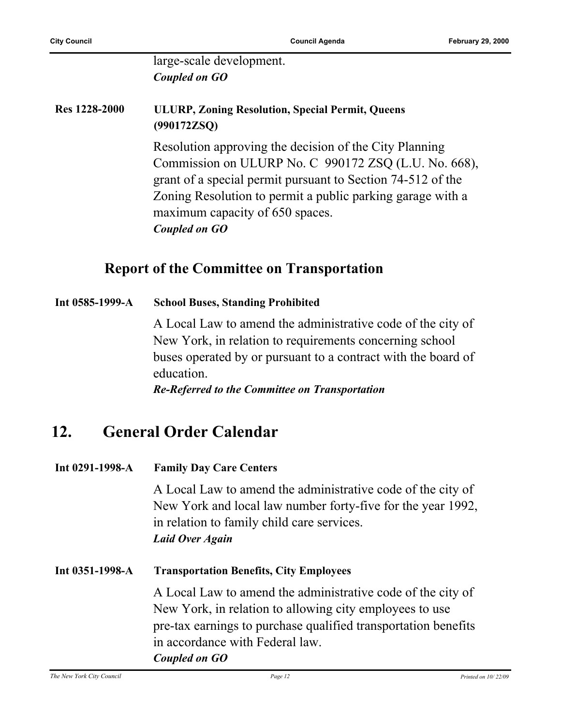large-scale development. *Coupled on GO*

### **Res 1228-2000 ULURP, Zoning Resolution, Special Permit, Queens (990172ZSQ)**

Resolution approving the decision of the City Planning Commission on ULURP No. C 990172 ZSQ (L.U. No. 668), grant of a special permit pursuant to Section 74-512 of the Zoning Resolution to permit a public parking garage with a maximum capacity of 650 spaces. *Coupled on GO*

### **Report of the Committee on Transportation**

#### **Int 0585-1999-A School Buses, Standing Prohibited**

A Local Law to amend the administrative code of the city of New York, in relation to requirements concerning school buses operated by or pursuant to a contract with the board of education.

*Re-Referred to the Committee on Transportation*

## **12. General Order Calendar**

#### **Int 0291-1998-A Family Day Care Centers**

A Local Law to amend the administrative code of the city of New York and local law number forty-five for the year 1992, in relation to family child care services. *Laid Over Again*

**Int 0351-1998-A Transportation Benefits, City Employees** A Local Law to amend the administrative code of the city of New York, in relation to allowing city employees to use pre-tax earnings to purchase qualified transportation benefits in accordance with Federal law. *Coupled on GO*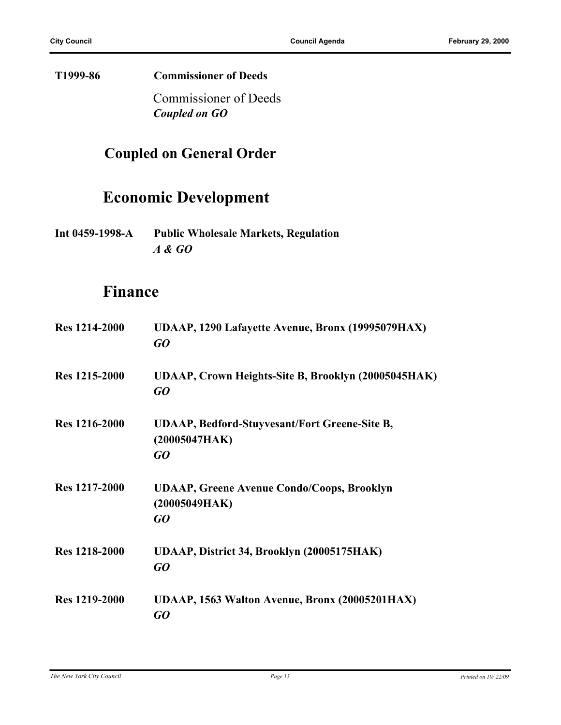**T1999-86 Commissioner of Deeds**

Commissioner of Deeds *Coupled on GO*

## **Coupled on General Order**

# **Economic Development**

**Int 0459-1998-A Public Wholesale Markets, Regulation** *A & GO*

### **Finance**

| <b>Res</b> 1214-2000 | UDAAP, 1290 Lafayette Avenue, Bronx (19995079HAX)<br>GO                     |
|----------------------|-----------------------------------------------------------------------------|
| Res 1215-2000        | UDAAP, Crown Heights-Site B, Brooklyn (20005045HAK)<br>GO                   |
| <b>Res</b> 1216-2000 | <b>UDAAP, Bedford-Stuyvesant/Fort Greene-Site B,</b><br>(20005047HAK)<br>GO |
| Res 1217-2000        | <b>UDAAP, Greene Avenue Condo/Coops, Brooklyn</b><br>(20005049HAK)<br>GO    |
| <b>Res</b> 1218-2000 | UDAAP, District 34, Brooklyn (20005175HAK)<br>GQ                            |
| <b>Res</b> 1219-2000 | UDAAP, 1563 Walton Avenue, Bronx (20005201HAX)<br>GO                        |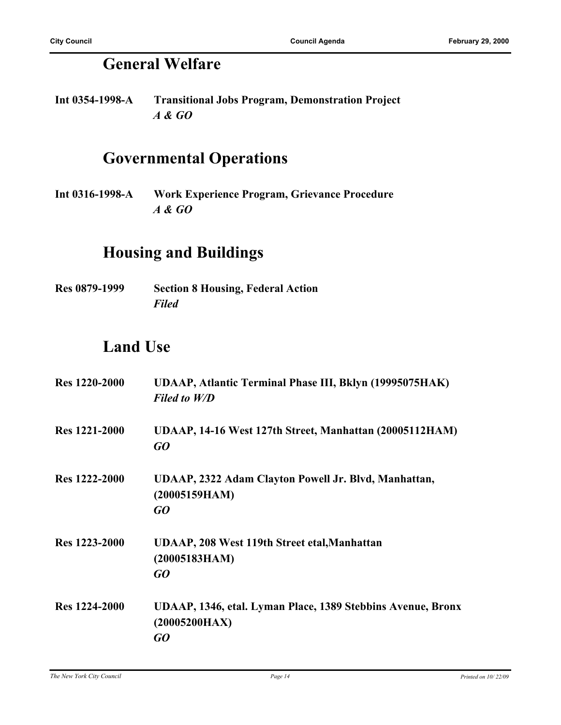# **General Welfare**

**Int 0354-1998-A Transitional Jobs Program, Demonstration Project** *A & GO*

# **Governmental Operations**

**Int 0316-1998-A Work Experience Program, Grievance Procedure** *A & GO*

## **Housing and Buildings**

**Res 0879-1999 Section 8 Housing, Federal Action** *Filed*

# **Land Use**

| <b>Res</b> 1220-2000 | UDAAP, Atlantic Terminal Phase III, Bklyn (19995075HAK)<br><b>Filed to W/D</b>     |
|----------------------|------------------------------------------------------------------------------------|
| <b>Res</b> 1221-2000 | UDAAP, 14-16 West 127th Street, Manhattan (20005112HAM)<br>GO                      |
| Res 1222-2000        | UDAAP, 2322 Adam Clayton Powell Jr. Blvd, Manhattan,<br>(20005159HAM)<br>GQ        |
| <b>Res</b> 1223-2000 | UDAAP, 208 West 119th Street etal, Manhattan<br>(20005183HAM)<br>GO                |
| <b>Res</b> 1224-2000 | UDAAP, 1346, etal. Lyman Place, 1389 Stebbins Avenue, Bronx<br>(20005200HAX)<br>GO |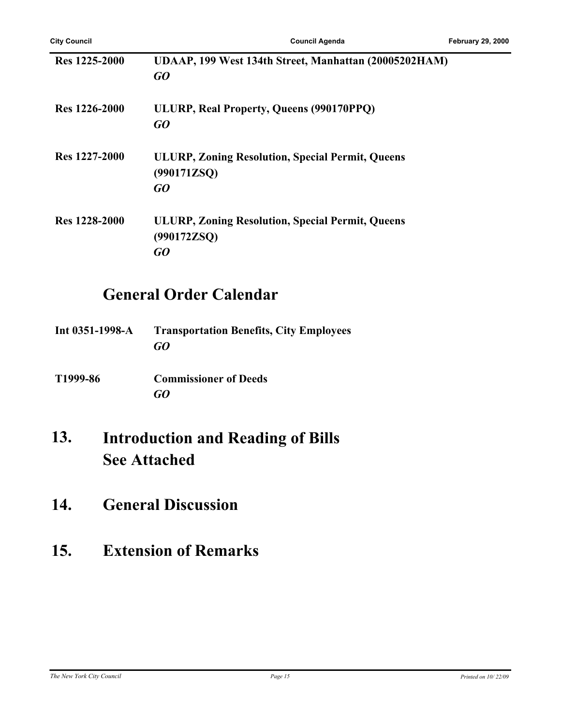| Res 1225-2000        | UDAAP, 199 West 134th Street, Manhattan (20005202HAM)<br>GO                  |
|----------------------|------------------------------------------------------------------------------|
| <b>Res</b> 1226-2000 | ULURP, Real Property, Queens (990170PPQ)<br>GO                               |
| Res 1227-2000        | <b>ULURP, Zoning Resolution, Special Permit, Queens</b><br>(990171ZSQ)<br>GQ |
| <b>Res</b> 1228-2000 | <b>ULURP, Zoning Resolution, Special Permit, Queens</b><br>(990172ZSQ)<br>GO |

# **General Order Calendar**

| Int $0351 - 1998 - A$ | <b>Transportation Benefits, City Employees</b> |
|-----------------------|------------------------------------------------|
|                       | GO                                             |
|                       |                                                |

**T1999-86 Commissioner of Deeds** *GO*

#### **Introduction and Reading of Bills See Attached 13.**

**14. General Discussion**

# **15. Extension of Remarks**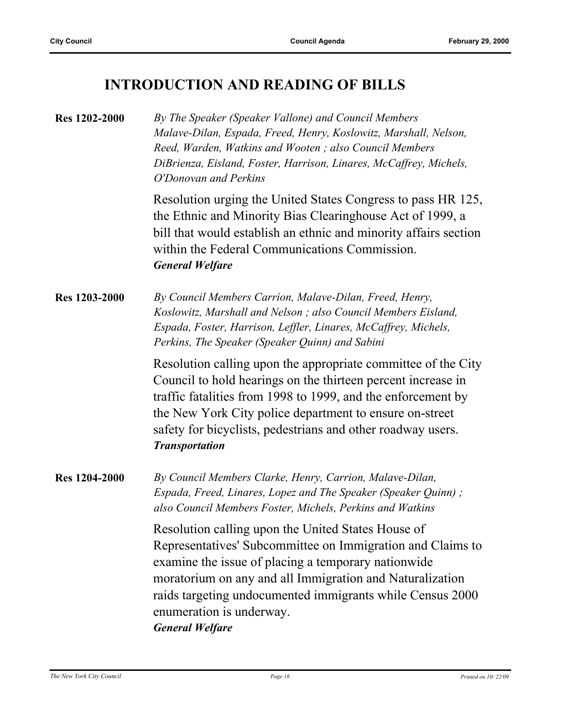### **INTRODUCTION AND READING OF BILLS**

**Res 1202-2000** *By The Speaker (Speaker Vallone) and Council Members Malave-Dilan, Espada, Freed, Henry, Koslowitz, Marshall, Nelson, Reed, Warden, Watkins and Wooten ; also Council Members DiBrienza, Eisland, Foster, Harrison, Linares, McCaffrey, Michels, O'Donovan and Perkins* Resolution urging the United States Congress to pass HR 125,

the Ethnic and Minority Bias Clearinghouse Act of 1999, a bill that would establish an ethnic and minority affairs section within the Federal Communications Commission. *General Welfare*

**Res 1203-2000** *By Council Members Carrion, Malave-Dilan, Freed, Henry, Koslowitz, Marshall and Nelson ; also Council Members Eisland, Espada, Foster, Harrison, Leffler, Linares, McCaffrey, Michels, Perkins, The Speaker (Speaker Quinn) and Sabini*

> Resolution calling upon the appropriate committee of the City Council to hold hearings on the thirteen percent increase in traffic fatalities from 1998 to 1999, and the enforcement by the New York City police department to ensure on-street safety for bicyclists, pedestrians and other roadway users. *Transportation*

**Res 1204-2000** *By Council Members Clarke, Henry, Carrion, Malave-Dilan, Espada, Freed, Linares, Lopez and The Speaker (Speaker Quinn) ; also Council Members Foster, Michels, Perkins and Watkins*

> Resolution calling upon the United States House of Representatives' Subcommittee on Immigration and Claims to examine the issue of placing a temporary nationwide moratorium on any and all Immigration and Naturalization raids targeting undocumented immigrants while Census 2000 enumeration is underway. *General Welfare*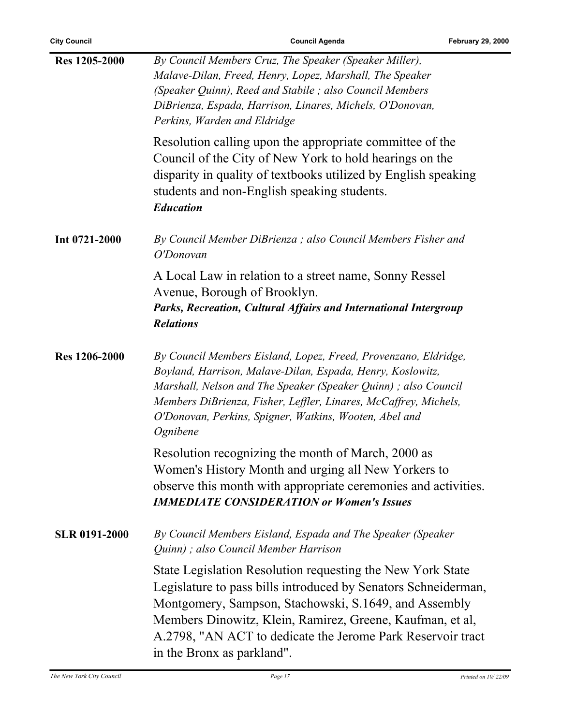| <b>City Council</b>  | <b>Council Agenda</b>                                                                                                                                                                                                                                                                                                                           | <b>February 29, 2000</b> |
|----------------------|-------------------------------------------------------------------------------------------------------------------------------------------------------------------------------------------------------------------------------------------------------------------------------------------------------------------------------------------------|--------------------------|
| <b>Res</b> 1205-2000 | By Council Members Cruz, The Speaker (Speaker Miller),<br>Malave-Dilan, Freed, Henry, Lopez, Marshall, The Speaker<br>(Speaker Quinn), Reed and Stabile; also Council Members<br>DiBrienza, Espada, Harrison, Linares, Michels, O'Donovan,<br>Perkins, Warden and Eldridge                                                                      |                          |
|                      | Resolution calling upon the appropriate committee of the<br>Council of the City of New York to hold hearings on the<br>disparity in quality of textbooks utilized by English speaking<br>students and non-English speaking students.<br><b>Education</b>                                                                                        |                          |
| Int 0721-2000        | By Council Member DiBrienza; also Council Members Fisher and<br>O'Donovan                                                                                                                                                                                                                                                                       |                          |
|                      | A Local Law in relation to a street name, Sonny Ressel<br>Avenue, Borough of Brooklyn.<br>Parks, Recreation, Cultural Affairs and International Intergroup<br><b>Relations</b>                                                                                                                                                                  |                          |
| <b>Res</b> 1206-2000 | By Council Members Eisland, Lopez, Freed, Provenzano, Eldridge,<br>Boyland, Harrison, Malave-Dilan, Espada, Henry, Koslowitz,<br>Marshall, Nelson and The Speaker (Speaker Quinn); also Council<br>Members DiBrienza, Fisher, Leffler, Linares, McCaffrey, Michels,<br>O'Donovan, Perkins, Spigner, Watkins, Wooten, Abel and<br>Ognibene       |                          |
|                      | Resolution recognizing the month of March, 2000 as<br>Women's History Month and urging all New Yorkers to<br>observe this month with appropriate ceremonies and activities.<br><b>IMMEDIATE CONSIDERATION or Women's Issues</b>                                                                                                                 |                          |
| <b>SLR 0191-2000</b> | By Council Members Eisland, Espada and The Speaker (Speaker<br>Quinn); also Council Member Harrison                                                                                                                                                                                                                                             |                          |
|                      | State Legislation Resolution requesting the New York State<br>Legislature to pass bills introduced by Senators Schneiderman,<br>Montgomery, Sampson, Stachowski, S.1649, and Assembly<br>Members Dinowitz, Klein, Ramirez, Greene, Kaufman, et al,<br>A.2798, "AN ACT to dedicate the Jerome Park Reservoir tract<br>in the Bronx as parkland". |                          |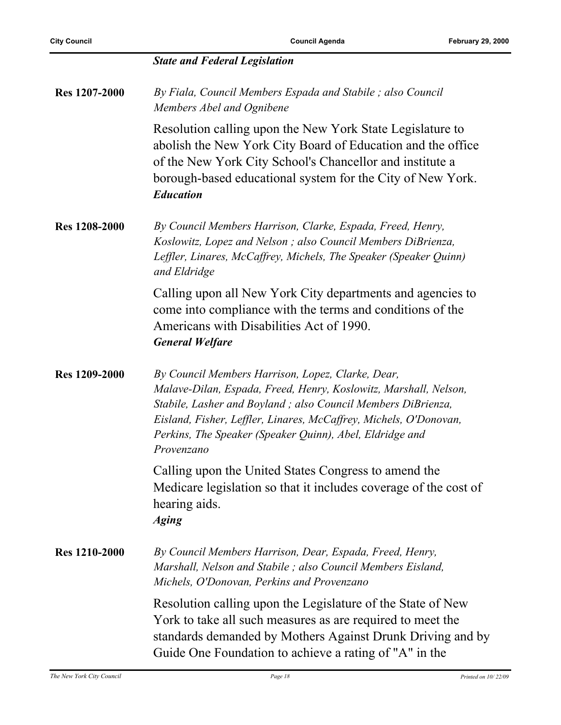|                      | <b>State and Federal Legislation</b>                                                                                                                                                                                                                                                                                                 |
|----------------------|--------------------------------------------------------------------------------------------------------------------------------------------------------------------------------------------------------------------------------------------------------------------------------------------------------------------------------------|
| <b>Res</b> 1207-2000 | By Fiala, Council Members Espada and Stabile; also Council<br>Members Abel and Ognibene                                                                                                                                                                                                                                              |
|                      | Resolution calling upon the New York State Legislature to<br>abolish the New York City Board of Education and the office<br>of the New York City School's Chancellor and institute a<br>borough-based educational system for the City of New York.<br><b>Education</b>                                                               |
| <b>Res</b> 1208-2000 | By Council Members Harrison, Clarke, Espada, Freed, Henry,<br>Koslowitz, Lopez and Nelson; also Council Members DiBrienza,<br>Leffler, Linares, McCaffrey, Michels, The Speaker (Speaker Quinn)<br>and Eldridge                                                                                                                      |
|                      | Calling upon all New York City departments and agencies to<br>come into compliance with the terms and conditions of the<br>Americans with Disabilities Act of 1990.<br><b>General Welfare</b>                                                                                                                                        |
| <b>Res</b> 1209-2000 | By Council Members Harrison, Lopez, Clarke, Dear,<br>Malave-Dilan, Espada, Freed, Henry, Koslowitz, Marshall, Nelson,<br>Stabile, Lasher and Boyland; also Council Members DiBrienza,<br>Eisland, Fisher, Leffler, Linares, McCaffrey, Michels, O'Donovan,<br>Perkins, The Speaker (Speaker Quinn), Abel, Eldridge and<br>Provenzano |
|                      | Calling upon the United States Congress to amend the<br>Medicare legislation so that it includes coverage of the cost of<br>hearing aids.<br><b>Aging</b>                                                                                                                                                                            |
| <b>Res</b> 1210-2000 | By Council Members Harrison, Dear, Espada, Freed, Henry,<br>Marshall, Nelson and Stabile; also Council Members Eisland,<br>Michels, O'Donovan, Perkins and Provenzano                                                                                                                                                                |
|                      | Resolution calling upon the Legislature of the State of New<br>York to take all such measures as are required to meet the<br>standards demanded by Mothers Against Drunk Driving and by<br>Guide One Foundation to achieve a rating of "A" in the                                                                                    |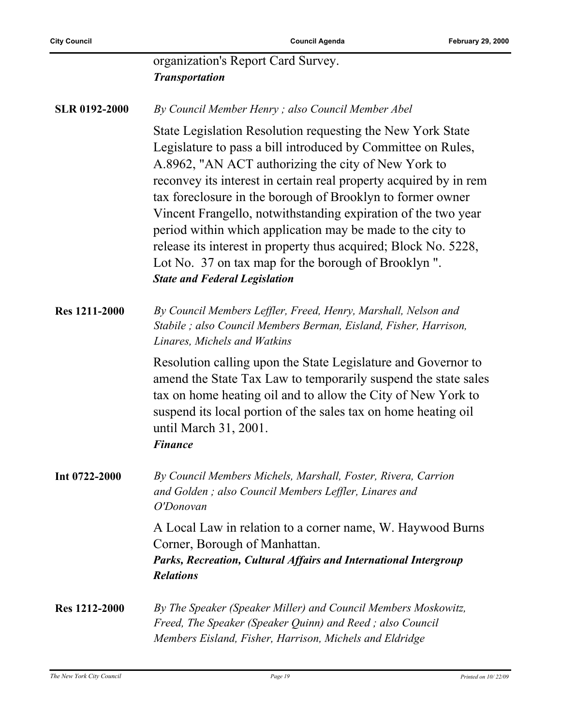|                      | organization's Report Card Survey.<br><b>Transportation</b>                                                                                                                                                                                                                                                                                                                                                                                                                                                                                                                                                            |
|----------------------|------------------------------------------------------------------------------------------------------------------------------------------------------------------------------------------------------------------------------------------------------------------------------------------------------------------------------------------------------------------------------------------------------------------------------------------------------------------------------------------------------------------------------------------------------------------------------------------------------------------------|
| <b>SLR 0192-2000</b> | By Council Member Henry; also Council Member Abel                                                                                                                                                                                                                                                                                                                                                                                                                                                                                                                                                                      |
|                      | State Legislation Resolution requesting the New York State<br>Legislature to pass a bill introduced by Committee on Rules,<br>A.8962, "AN ACT authorizing the city of New York to<br>reconvey its interest in certain real property acquired by in rem<br>tax foreclosure in the borough of Brooklyn to former owner<br>Vincent Frangello, notwithstanding expiration of the two year<br>period within which application may be made to the city to<br>release its interest in property thus acquired; Block No. 5228,<br>Lot No. 37 on tax map for the borough of Brooklyn ".<br><b>State and Federal Legislation</b> |
| <b>Res 1211-2000</b> | By Council Members Leffler, Freed, Henry, Marshall, Nelson and<br>Stabile; also Council Members Berman, Eisland, Fisher, Harrison,<br>Linares, Michels and Watkins                                                                                                                                                                                                                                                                                                                                                                                                                                                     |
|                      | Resolution calling upon the State Legislature and Governor to<br>amend the State Tax Law to temporarily suspend the state sales<br>tax on home heating oil and to allow the City of New York to<br>suspend its local portion of the sales tax on home heating oil<br>until March 31, 2001.<br><b>Finance</b>                                                                                                                                                                                                                                                                                                           |
| Int 0722-2000        | By Council Members Michels, Marshall, Foster, Rivera, Carrion<br>and Golden; also Council Members Leffler, Linares and<br>O'Donovan                                                                                                                                                                                                                                                                                                                                                                                                                                                                                    |
|                      | A Local Law in relation to a corner name, W. Haywood Burns<br>Corner, Borough of Manhattan.<br>Parks, Recreation, Cultural Affairs and International Intergroup<br><b>Relations</b>                                                                                                                                                                                                                                                                                                                                                                                                                                    |
| <b>Res</b> 1212-2000 | By The Speaker (Speaker Miller) and Council Members Moskowitz,<br>Freed, The Speaker (Speaker Quinn) and Reed; also Council<br>Members Eisland, Fisher, Harrison, Michels and Eldridge                                                                                                                                                                                                                                                                                                                                                                                                                                 |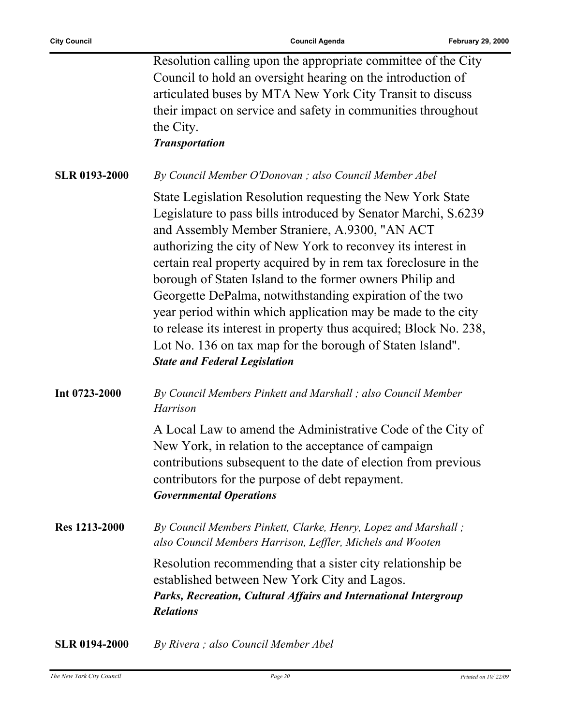|                      | Resolution calling upon the appropriate committee of the City<br>Council to hold an oversight hearing on the introduction of<br>articulated buses by MTA New York City Transit to discuss<br>their impact on service and safety in communities throughout<br>the City.<br><b>Transportation</b>                                                                                                                                                                                                                                                                                                                                                                                     |
|----------------------|-------------------------------------------------------------------------------------------------------------------------------------------------------------------------------------------------------------------------------------------------------------------------------------------------------------------------------------------------------------------------------------------------------------------------------------------------------------------------------------------------------------------------------------------------------------------------------------------------------------------------------------------------------------------------------------|
| <b>SLR 0193-2000</b> | By Council Member O'Donovan; also Council Member Abel                                                                                                                                                                                                                                                                                                                                                                                                                                                                                                                                                                                                                               |
|                      | State Legislation Resolution requesting the New York State<br>Legislature to pass bills introduced by Senator Marchi, S.6239<br>and Assembly Member Straniere, A.9300, "AN ACT<br>authorizing the city of New York to reconvey its interest in<br>certain real property acquired by in rem tax foreclosure in the<br>borough of Staten Island to the former owners Philip and<br>Georgette DePalma, notwithstanding expiration of the two<br>year period within which application may be made to the city<br>to release its interest in property thus acquired; Block No. 238,<br>Lot No. 136 on tax map for the borough of Staten Island".<br><b>State and Federal Legislation</b> |
| Int 0723-2000        | By Council Members Pinkett and Marshall; also Council Member<br>Harrison                                                                                                                                                                                                                                                                                                                                                                                                                                                                                                                                                                                                            |
|                      | A Local Law to amend the Administrative Code of the City of<br>New York, in relation to the acceptance of campaign<br>contributions subsequent to the date of election from previous<br>contributors for the purpose of debt repayment.<br><b>Governmental Operations</b>                                                                                                                                                                                                                                                                                                                                                                                                           |
| <b>Res</b> 1213-2000 | By Council Members Pinkett, Clarke, Henry, Lopez and Marshall;<br>also Council Members Harrison, Leffler, Michels and Wooten                                                                                                                                                                                                                                                                                                                                                                                                                                                                                                                                                        |
|                      | Resolution recommending that a sister city relationship be<br>established between New York City and Lagos.<br>Parks, Recreation, Cultural Affairs and International Intergroup<br><b>Relations</b>                                                                                                                                                                                                                                                                                                                                                                                                                                                                                  |
| CI D 0104 2000       | $R_1$ , $P$ <i>iverg</i> : also Council Mambor Abol                                                                                                                                                                                                                                                                                                                                                                                                                                                                                                                                                                                                                                 |

**SLR 0194-2000** *By Rivera ; also Council Member Abel*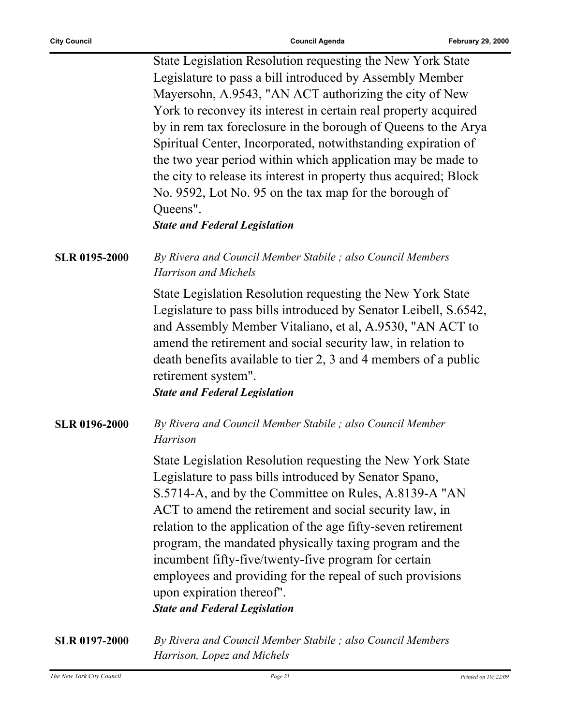|                      | State Legislation Resolution requesting the New York State<br>Legislature to pass a bill introduced by Assembly Member<br>Mayersohn, A.9543, "AN ACT authorizing the city of New<br>York to reconvey its interest in certain real property acquired<br>by in rem tax foreclosure in the borough of Queens to the Arya<br>Spiritual Center, Incorporated, notwithstanding expiration of<br>the two year period within which application may be made to<br>the city to release its interest in property thus acquired; Block<br>No. 9592, Lot No. 95 on the tax map for the borough of<br>Queens".<br><b>State and Federal Legislation</b> |
|----------------------|------------------------------------------------------------------------------------------------------------------------------------------------------------------------------------------------------------------------------------------------------------------------------------------------------------------------------------------------------------------------------------------------------------------------------------------------------------------------------------------------------------------------------------------------------------------------------------------------------------------------------------------|
| <b>SLR 0195-2000</b> | By Rivera and Council Member Stabile; also Council Members<br>Harrison and Michels                                                                                                                                                                                                                                                                                                                                                                                                                                                                                                                                                       |
|                      | State Legislation Resolution requesting the New York State<br>Legislature to pass bills introduced by Senator Leibell, S.6542,<br>and Assembly Member Vitaliano, et al, A.9530, "AN ACT to<br>amend the retirement and social security law, in relation to<br>death benefits available to tier 2, 3 and 4 members of a public<br>retirement system".<br><b>State and Federal Legislation</b>                                                                                                                                                                                                                                             |
| <b>SLR 0196-2000</b> | By Rivera and Council Member Stabile ; also Council Member<br>Harrison                                                                                                                                                                                                                                                                                                                                                                                                                                                                                                                                                                   |
|                      | State Legislation Resolution requesting the New York State<br>Legislature to pass bills introduced by Senator Spano,<br>S.5714-A, and by the Committee on Rules, A.8139-A "AN<br>ACT to amend the retirement and social security law, in<br>relation to the application of the age fifty-seven retirement<br>program, the mandated physically taxing program and the<br>incumbent fifty-five/twenty-five program for certain<br>employees and providing for the repeal of such provisions<br>upon expiration thereof".<br><b>State and Federal Legislation</b>                                                                           |
| <b>SLR 0197-2000</b> | By Rivera and Council Member Stabile; also Council Members<br>Harrison, Lopez and Michels                                                                                                                                                                                                                                                                                                                                                                                                                                                                                                                                                |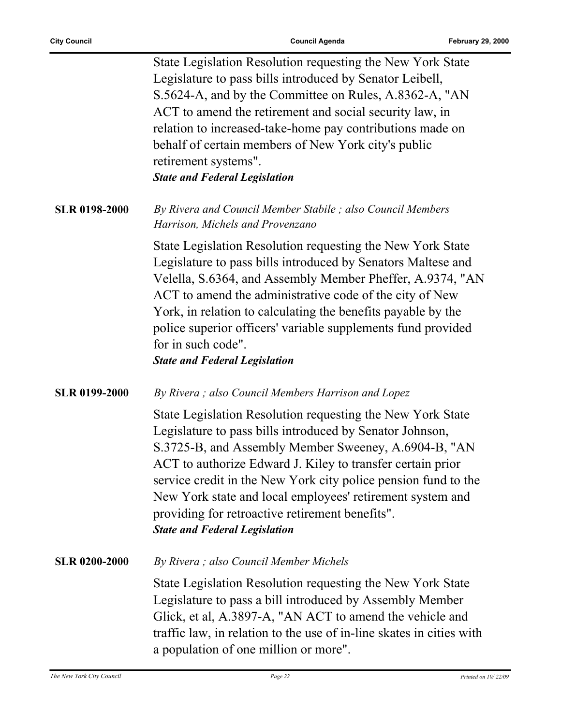$\overline{a}$ 

|                      | State Legislation Resolution requesting the New York State<br>Legislature to pass bills introduced by Senator Leibell,<br>S.5624-A, and by the Committee on Rules, A.8362-A, "AN<br>ACT to amend the retirement and social security law, in<br>relation to increased-take-home pay contributions made on<br>behalf of certain members of New York city's public<br>retirement systems".<br><b>State and Federal Legislation</b>                                        |
|----------------------|------------------------------------------------------------------------------------------------------------------------------------------------------------------------------------------------------------------------------------------------------------------------------------------------------------------------------------------------------------------------------------------------------------------------------------------------------------------------|
| <b>SLR 0198-2000</b> | By Rivera and Council Member Stabile ; also Council Members<br>Harrison, Michels and Provenzano                                                                                                                                                                                                                                                                                                                                                                        |
|                      | State Legislation Resolution requesting the New York State<br>Legislature to pass bills introduced by Senators Maltese and<br>Velella, S.6364, and Assembly Member Pheffer, A.9374, "AN<br>ACT to amend the administrative code of the city of New<br>York, in relation to calculating the benefits payable by the<br>police superior officers' variable supplements fund provided<br>for in such code".<br><b>State and Federal Legislation</b>                       |
| <b>SLR 0199-2000</b> | By Rivera; also Council Members Harrison and Lopez                                                                                                                                                                                                                                                                                                                                                                                                                     |
|                      | State Legislation Resolution requesting the New York State<br>Legislature to pass bills introduced by Senator Johnson,<br>S.3725-B, and Assembly Member Sweeney, A.6904-B, "AN<br>ACT to authorize Edward J. Kiley to transfer certain prior<br>service credit in the New York city police pension fund to the<br>New York state and local employees' retirement system and<br>providing for retroactive retirement benefits".<br><b>State and Federal Legislation</b> |
| <b>SLR 0200-2000</b> | By Rivera; also Council Member Michels                                                                                                                                                                                                                                                                                                                                                                                                                                 |
|                      | State Legislation Resolution requesting the New York State<br>Legislature to pass a bill introduced by Assembly Member<br>Glick, et al, A.3897-A, "AN ACT to amend the vehicle and<br>traffic law, in relation to the use of in-line skates in cities with<br>a population of one million or more".                                                                                                                                                                    |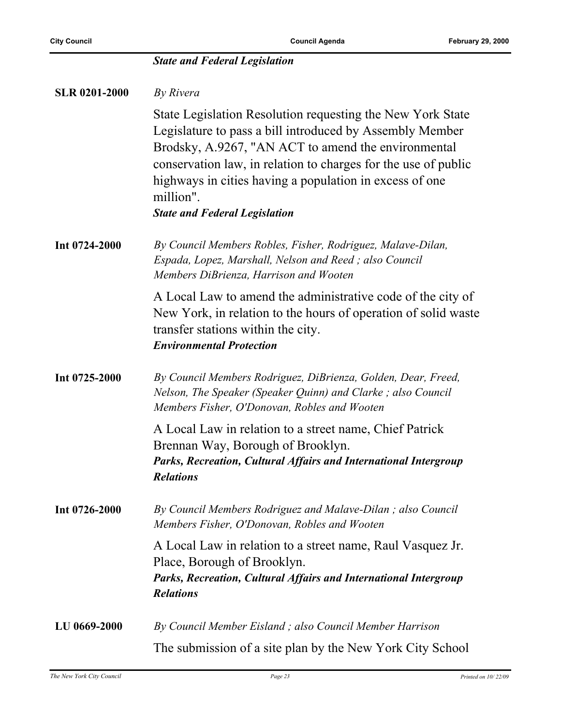|                      | <b>State and Federal Legislation</b>                                                                                                                                                                                                                                                                                                                            |
|----------------------|-----------------------------------------------------------------------------------------------------------------------------------------------------------------------------------------------------------------------------------------------------------------------------------------------------------------------------------------------------------------|
| <b>SLR 0201-2000</b> | By Rivera                                                                                                                                                                                                                                                                                                                                                       |
|                      | State Legislation Resolution requesting the New York State<br>Legislature to pass a bill introduced by Assembly Member<br>Brodsky, A.9267, "AN ACT to amend the environmental<br>conservation law, in relation to charges for the use of public<br>highways in cities having a population in excess of one<br>million".<br><b>State and Federal Legislation</b> |
| Int 0724-2000        | By Council Members Robles, Fisher, Rodriguez, Malave-Dilan,<br>Espada, Lopez, Marshall, Nelson and Reed; also Council<br>Members DiBrienza, Harrison and Wooten                                                                                                                                                                                                 |
|                      | A Local Law to amend the administrative code of the city of<br>New York, in relation to the hours of operation of solid waste<br>transfer stations within the city.<br><b>Environmental Protection</b>                                                                                                                                                          |
| Int 0725-2000        | By Council Members Rodriguez, DiBrienza, Golden, Dear, Freed,<br>Nelson, The Speaker (Speaker Quinn) and Clarke; also Council<br>Members Fisher, O'Donovan, Robles and Wooten                                                                                                                                                                                   |
|                      | A Local Law in relation to a street name, Chief Patrick<br>Brennan Way, Borough of Brooklyn.<br>Parks, Recreation, Cultural Affairs and International Intergroup<br><b>Relations</b>                                                                                                                                                                            |
| Int 0726-2000        | By Council Members Rodriguez and Malave-Dilan; also Council<br>Members Fisher, O'Donovan, Robles and Wooten                                                                                                                                                                                                                                                     |
|                      | A Local Law in relation to a street name, Raul Vasquez Jr.<br>Place, Borough of Brooklyn.<br>Parks, Recreation, Cultural Affairs and International Intergroup<br><b>Relations</b>                                                                                                                                                                               |
| LU 0669-2000         | By Council Member Eisland; also Council Member Harrison                                                                                                                                                                                                                                                                                                         |
|                      | The submission of a site plan by the New York City School                                                                                                                                                                                                                                                                                                       |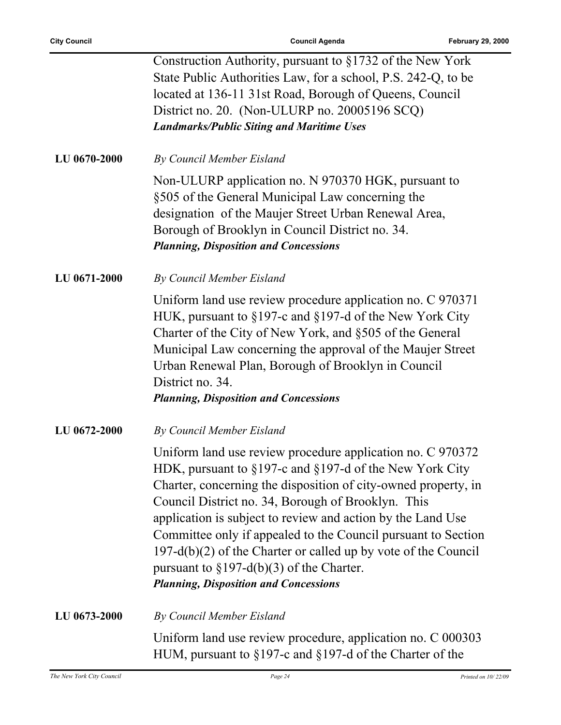|              | Construction Authority, pursuant to §1732 of the New York<br>State Public Authorities Law, for a school, P.S. 242-Q, to be<br>located at 136-11 31st Road, Borough of Queens, Council<br>District no. 20. (Non-ULURP no. 20005196 SCQ)<br><b>Landmarks/Public Siting and Maritime Uses</b>                                                                                                                                                                                                                                                                  |
|--------------|-------------------------------------------------------------------------------------------------------------------------------------------------------------------------------------------------------------------------------------------------------------------------------------------------------------------------------------------------------------------------------------------------------------------------------------------------------------------------------------------------------------------------------------------------------------|
| LU 0670-2000 | By Council Member Eisland                                                                                                                                                                                                                                                                                                                                                                                                                                                                                                                                   |
|              | Non-ULURP application no. N 970370 HGK, pursuant to<br>§505 of the General Municipal Law concerning the<br>designation of the Maujer Street Urban Renewal Area,<br>Borough of Brooklyn in Council District no. 34.<br><b>Planning, Disposition and Concessions</b>                                                                                                                                                                                                                                                                                          |
| LU 0671-2000 | By Council Member Eisland                                                                                                                                                                                                                                                                                                                                                                                                                                                                                                                                   |
|              | Uniform land use review procedure application no. C 970371<br>HUK, pursuant to §197-c and §197-d of the New York City<br>Charter of the City of New York, and §505 of the General<br>Municipal Law concerning the approval of the Maujer Street<br>Urban Renewal Plan, Borough of Brooklyn in Council<br>District no. 34.<br><b>Planning, Disposition and Concessions</b>                                                                                                                                                                                   |
| LU 0672-2000 | By Council Member Eisland                                                                                                                                                                                                                                                                                                                                                                                                                                                                                                                                   |
|              | Uniform land use review procedure application no. C 970372<br>HDK, pursuant to $\S 197$ -c and $\S 197$ -d of the New York City<br>Charter, concerning the disposition of city-owned property, in<br>Council District no. 34, Borough of Brooklyn. This<br>application is subject to review and action by the Land Use<br>Committee only if appealed to the Council pursuant to Section<br>$197-d(b)(2)$ of the Charter or called up by vote of the Council<br>pursuant to $\S 197-d(b)(3)$ of the Charter.<br><b>Planning, Disposition and Concessions</b> |
| LU 0673-2000 | By Council Member Eisland                                                                                                                                                                                                                                                                                                                                                                                                                                                                                                                                   |
|              | Uniform land use review procedure, application no. C 000303<br>HUM, pursuant to $\S 197$ -c and $\S 197$ -d of the Charter of the                                                                                                                                                                                                                                                                                                                                                                                                                           |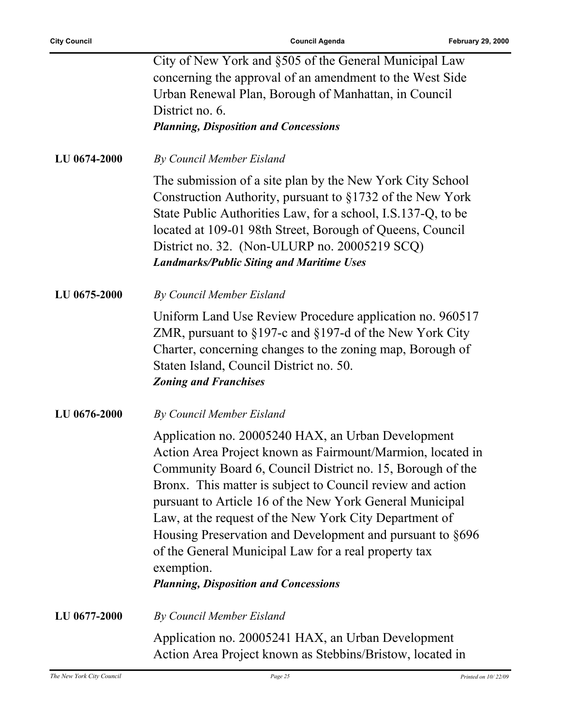|              | City of New York and §505 of the General Municipal Law<br>concerning the approval of an amendment to the West Side<br>Urban Renewal Plan, Borough of Manhattan, in Council<br>District no. 6.<br><b>Planning, Disposition and Concessions</b>                                                                                                                                                                                                                                                                                                         |
|--------------|-------------------------------------------------------------------------------------------------------------------------------------------------------------------------------------------------------------------------------------------------------------------------------------------------------------------------------------------------------------------------------------------------------------------------------------------------------------------------------------------------------------------------------------------------------|
| LU 0674-2000 | By Council Member Eisland                                                                                                                                                                                                                                                                                                                                                                                                                                                                                                                             |
|              | The submission of a site plan by the New York City School<br>Construction Authority, pursuant to §1732 of the New York<br>State Public Authorities Law, for a school, I.S.137-Q, to be<br>located at 109-01 98th Street, Borough of Queens, Council<br>District no. 32. (Non-ULURP no. 20005219 SCQ)<br><b>Landmarks/Public Siting and Maritime Uses</b>                                                                                                                                                                                              |
| LU 0675-2000 | By Council Member Eisland                                                                                                                                                                                                                                                                                                                                                                                                                                                                                                                             |
|              | Uniform Land Use Review Procedure application no. 960517<br>ZMR, pursuant to $\S197$ -c and $\S197$ -d of the New York City<br>Charter, concerning changes to the zoning map, Borough of<br>Staten Island, Council District no. 50.<br><b>Zoning and Franchises</b>                                                                                                                                                                                                                                                                                   |
| LU 0676-2000 | By Council Member Eisland                                                                                                                                                                                                                                                                                                                                                                                                                                                                                                                             |
|              | Application no. 20005240 HAX, an Urban Development<br>Action Area Project known as Fairmount/Marmion, located in<br>Community Board 6, Council District no. 15, Borough of the<br>Bronx. This matter is subject to Council review and action<br>pursuant to Article 16 of the New York General Municipal<br>Law, at the request of the New York City Department of<br>Housing Preservation and Development and pursuant to §696<br>of the General Municipal Law for a real property tax<br>exemption.<br><b>Planning, Disposition and Concessions</b> |
| LU 0677-2000 | By Council Member Eisland                                                                                                                                                                                                                                                                                                                                                                                                                                                                                                                             |
|              | Application no. 20005241 HAX, an Urban Development<br>Action Area Project known as Stebbins/Bristow, located in                                                                                                                                                                                                                                                                                                                                                                                                                                       |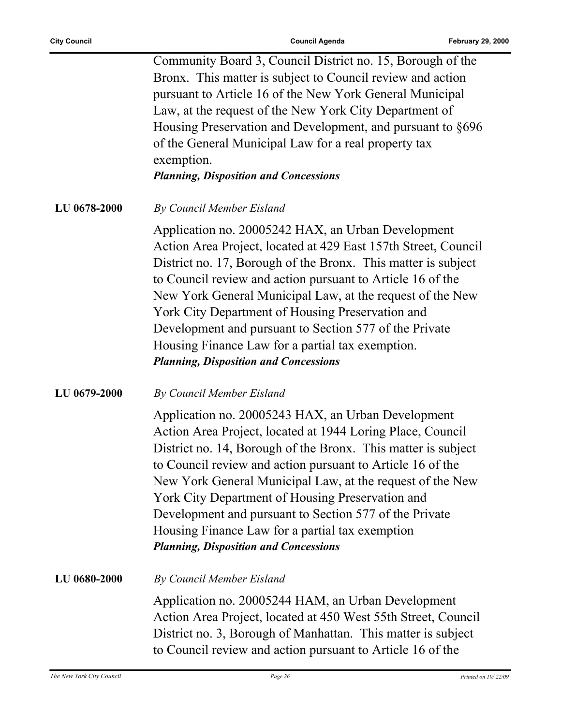|            | Community Board 3, Council District no. 15, Borough of the |
|------------|------------------------------------------------------------|
|            | Bronx. This matter is subject to Council review and action |
|            | pursuant to Article 16 of the New York General Municipal   |
|            | Law, at the request of the New York City Department of     |
|            | Housing Preservation and Development, and pursuant to §696 |
|            | of the General Municipal Law for a real property tax       |
| exemption. |                                                            |
|            | <b>Planning, Disposition and Concessions</b>               |
|            |                                                            |

**LU 0678-2000** *By Council Member Eisland*

Application no. 20005242 HAX, an Urban Development Action Area Project, located at 429 East 157th Street, Council District no. 17, Borough of the Bronx. This matter is subject to Council review and action pursuant to Article 16 of the New York General Municipal Law, at the request of the New York City Department of Housing Preservation and Development and pursuant to Section 577 of the Private Housing Finance Law for a partial tax exemption. *Planning, Disposition and Concessions*

#### **LU 0679-2000** *By Council Member Eisland*

Application no. 20005243 HAX, an Urban Development Action Area Project, located at 1944 Loring Place, Council District no. 14, Borough of the Bronx. This matter is subject to Council review and action pursuant to Article 16 of the New York General Municipal Law, at the request of the New York City Department of Housing Preservation and Development and pursuant to Section 577 of the Private Housing Finance Law for a partial tax exemption *Planning, Disposition and Concessions*

**LU 0680-2000** *By Council Member Eisland*

Application no. 20005244 HAM, an Urban Development Action Area Project, located at 450 West 55th Street, Council District no. 3, Borough of Manhattan. This matter is subject to Council review and action pursuant to Article 16 of the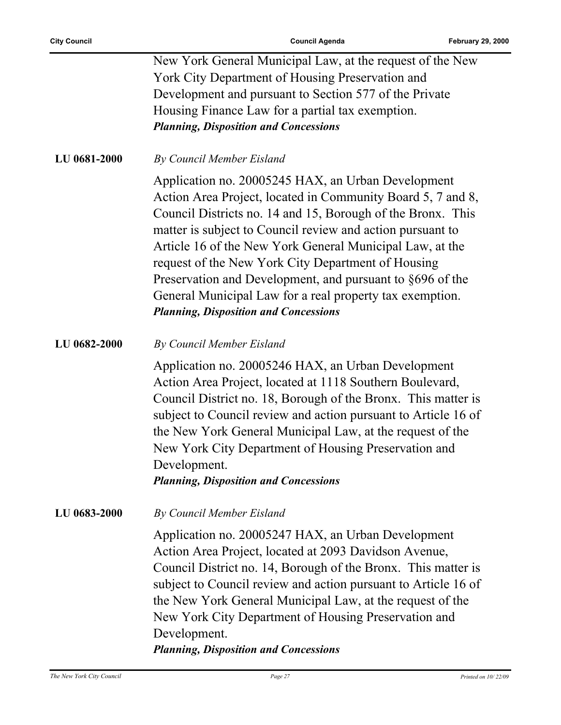$\overline{a}$ 

|              | New York General Municipal Law, at the request of the New<br>York City Department of Housing Preservation and<br>Development and pursuant to Section 577 of the Private                                                                                                                                                                                                                                                                                                                                                                   |
|--------------|-------------------------------------------------------------------------------------------------------------------------------------------------------------------------------------------------------------------------------------------------------------------------------------------------------------------------------------------------------------------------------------------------------------------------------------------------------------------------------------------------------------------------------------------|
|              | Housing Finance Law for a partial tax exemption.<br><b>Planning, Disposition and Concessions</b>                                                                                                                                                                                                                                                                                                                                                                                                                                          |
| LU 0681-2000 | By Council Member Eisland                                                                                                                                                                                                                                                                                                                                                                                                                                                                                                                 |
|              | Application no. 20005245 HAX, an Urban Development<br>Action Area Project, located in Community Board 5, 7 and 8,<br>Council Districts no. 14 and 15, Borough of the Bronx. This<br>matter is subject to Council review and action pursuant to<br>Article 16 of the New York General Municipal Law, at the<br>request of the New York City Department of Housing<br>Preservation and Development, and pursuant to §696 of the<br>General Municipal Law for a real property tax exemption.<br><b>Planning, Disposition and Concessions</b> |
| LU 0682-2000 | By Council Member Eisland                                                                                                                                                                                                                                                                                                                                                                                                                                                                                                                 |
|              | Application no. 20005246 HAX, an Urban Development<br>Action Area Project, located at 1118 Southern Boulevard,<br>Council District no. 18, Borough of the Bronx. This matter is<br>subject to Council review and action pursuant to Article 16 of<br>the New York General Municipal Law, at the request of the<br>New York City Department of Housing Preservation and<br>Development.<br><b>Planning, Disposition and Concessions</b>                                                                                                    |
| LU 0683-2000 | By Council Member Eisland                                                                                                                                                                                                                                                                                                                                                                                                                                                                                                                 |
|              | Application no. 20005247 HAX, an Urban Development<br>Action Area Project, located at 2093 Davidson Avenue,<br>Council District no. 14, Borough of the Bronx. This matter is<br>subject to Council review and action pursuant to Article 16 of<br>the New York General Municipal Law, at the request of the<br>New York City Department of Housing Preservation and<br>Development.<br><b>Planning, Disposition and Concessions</b>                                                                                                       |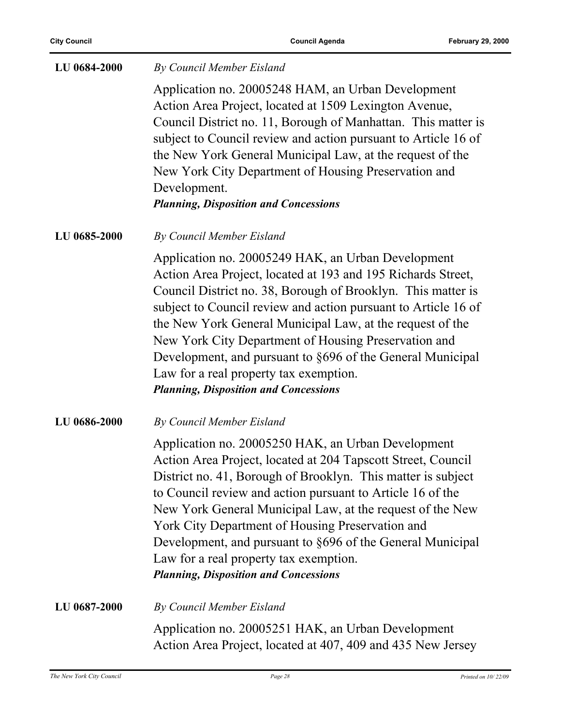| LU 0684-2000 | By Council Member Eisland                                                                                                                                                                                                                                                                                                                                                                                                                                                                                                         |
|--------------|-----------------------------------------------------------------------------------------------------------------------------------------------------------------------------------------------------------------------------------------------------------------------------------------------------------------------------------------------------------------------------------------------------------------------------------------------------------------------------------------------------------------------------------|
|              | Application no. 20005248 HAM, an Urban Development<br>Action Area Project, located at 1509 Lexington Avenue,<br>Council District no. 11, Borough of Manhattan. This matter is<br>subject to Council review and action pursuant to Article 16 of<br>the New York General Municipal Law, at the request of the<br>New York City Department of Housing Preservation and<br>Development.<br><b>Planning, Disposition and Concessions</b>                                                                                              |
| LU 0685-2000 | By Council Member Eisland                                                                                                                                                                                                                                                                                                                                                                                                                                                                                                         |
|              | Application no. 20005249 HAK, an Urban Development<br>Action Area Project, located at 193 and 195 Richards Street,<br>Council District no. 38, Borough of Brooklyn. This matter is<br>subject to Council review and action pursuant to Article 16 of<br>the New York General Municipal Law, at the request of the<br>New York City Department of Housing Preservation and<br>Development, and pursuant to §696 of the General Municipal<br>Law for a real property tax exemption.<br><b>Planning, Disposition and Concessions</b> |
| LU 0686-2000 | By Council Member Eisland                                                                                                                                                                                                                                                                                                                                                                                                                                                                                                         |
|              | Application no. 20005250 HAK, an Urban Development<br>Action Area Project, located at 204 Tapscott Street, Council<br>District no. 41, Borough of Brooklyn. This matter is subject<br>to Council review and action pursuant to Article 16 of the<br>New York General Municipal Law, at the request of the New<br>York City Department of Housing Preservation and<br>Development, and pursuant to §696 of the General Municipal<br>Law for a real property tax exemption.<br><b>Planning, Disposition and Concessions</b>         |
| LU 0687-2000 | By Council Member Eisland                                                                                                                                                                                                                                                                                                                                                                                                                                                                                                         |
|              | Application no. 20005251 HAK, an Urban Development<br>Action Area Project, located at 407, 409 and 435 New Jersey                                                                                                                                                                                                                                                                                                                                                                                                                 |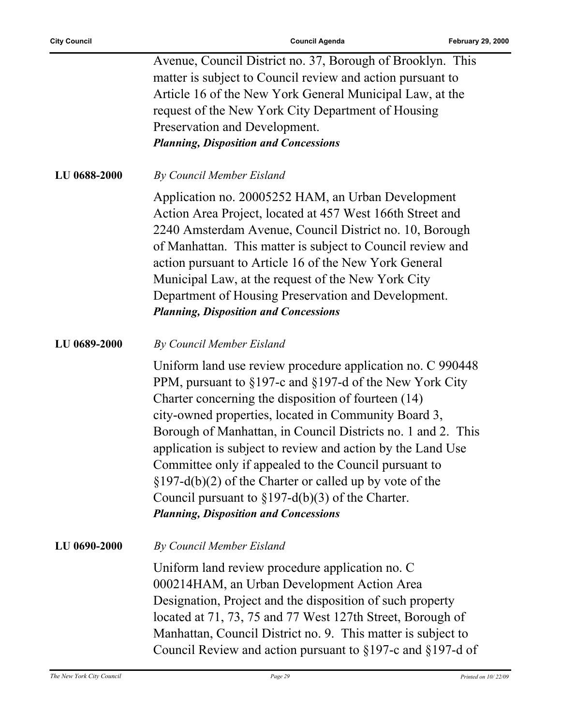|              | Avenue, Council District no. 37, Borough of Brooklyn. This<br>matter is subject to Council review and action pursuant to<br>Article 16 of the New York General Municipal Law, at the                                                                                                                                                                                                                                                                                                                                                                                                                |
|--------------|-----------------------------------------------------------------------------------------------------------------------------------------------------------------------------------------------------------------------------------------------------------------------------------------------------------------------------------------------------------------------------------------------------------------------------------------------------------------------------------------------------------------------------------------------------------------------------------------------------|
|              | request of the New York City Department of Housing                                                                                                                                                                                                                                                                                                                                                                                                                                                                                                                                                  |
|              | Preservation and Development.                                                                                                                                                                                                                                                                                                                                                                                                                                                                                                                                                                       |
|              | <b>Planning, Disposition and Concessions</b>                                                                                                                                                                                                                                                                                                                                                                                                                                                                                                                                                        |
| LU 0688-2000 | By Council Member Eisland                                                                                                                                                                                                                                                                                                                                                                                                                                                                                                                                                                           |
|              | Application no. 20005252 HAM, an Urban Development<br>Action Area Project, located at 457 West 166th Street and<br>2240 Amsterdam Avenue, Council District no. 10, Borough<br>of Manhattan. This matter is subject to Council review and<br>action pursuant to Article 16 of the New York General<br>Municipal Law, at the request of the New York City<br>Department of Housing Preservation and Development.<br><b>Planning, Disposition and Concessions</b>                                                                                                                                      |
| LU 0689-2000 | By Council Member Eisland                                                                                                                                                                                                                                                                                                                                                                                                                                                                                                                                                                           |
|              | Uniform land use review procedure application no. C 990448<br>PPM, pursuant to §197-c and §197-d of the New York City<br>Charter concerning the disposition of fourteen (14)<br>city-owned properties, located in Community Board 3,<br>Borough of Manhattan, in Council Districts no. 1 and 2. This<br>application is subject to review and action by the Land Use<br>Committee only if appealed to the Council pursuant to<br>$\S 197-d(b)(2)$ of the Charter or called up by vote of the<br>Council pursuant to $\S 197-d(b)(3)$ of the Charter.<br><b>Planning, Disposition and Concessions</b> |
| LU 0690-2000 | By Council Member Eisland                                                                                                                                                                                                                                                                                                                                                                                                                                                                                                                                                                           |
|              | Uniform land review procedure application no. C<br>000214HAM, an Urban Development Action Area<br>Designation, Project and the disposition of such property<br>located at 71, 73, 75 and 77 West 127th Street, Borough of<br>Manhattan, Council District no. 9. This matter is subject to<br>Council Review and action pursuant to $\S 197$ -c and $\S 197$ -d of                                                                                                                                                                                                                                   |